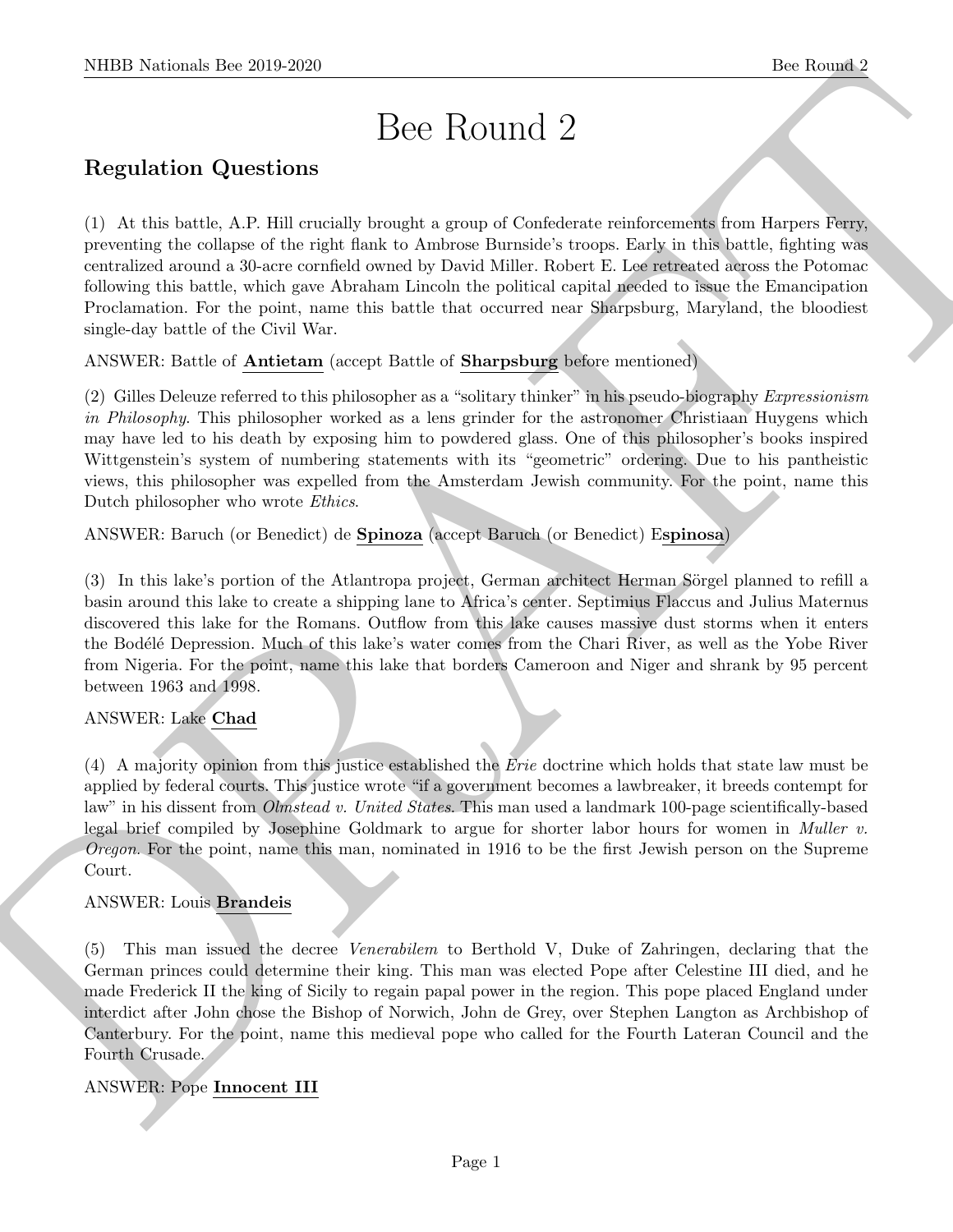# Bee Round 2

# Regulation Questions

NIBB Noticeal- her 20.9.269.<br>
Disc Routing 2<br>
Regulation Questions<br>
(a) or rise bers, A.F. Plut average benefits a ground Confidence recitors<br>and the first specifical state of the specifical state of the specifical<br>
perce (1) At this battle, A.P. Hill crucially brought a group of Confederate reinforcements from Harpers Ferry, preventing the collapse of the right flank to Ambrose Burnside's troops. Early in this battle, fighting was centralized around a 30-acre cornfield owned by David Miller. Robert E. Lee retreated across the Potomac following this battle, which gave Abraham Lincoln the political capital needed to issue the Emancipation Proclamation. For the point, name this battle that occurred near Sharpsburg, Maryland, the bloodiest single-day battle of the Civil War.

ANSWER: Battle of Antietam (accept Battle of Sharpsburg before mentioned)

(2) Gilles Deleuze referred to this philosopher as a "solitary thinker" in his pseudo-biography Expressionism in Philosophy. This philosopher worked as a lens grinder for the astronomer Christiaan Huygens which may have led to his death by exposing him to powdered glass. One of this philosopher's books inspired Wittgenstein's system of numbering statements with its "geometric" ordering. Due to his pantheistic views, this philosopher was expelled from the Amsterdam Jewish community. For the point, name this Dutch philosopher who wrote Ethics.

ANSWER: Baruch (or Benedict) de Spinoza (accept Baruch (or Benedict) Espinosa)

(3) In this lake's portion of the Atlantropa project, German architect Herman Sörgel planned to refill a basin around this lake to create a shipping lane to Africa's center. Septimius Flaccus and Julius Maternus discovered this lake for the Romans. Outflow from this lake causes massive dust storms when it enters the Bodélé Depression. Much of this lake's water comes from the Chari River, as well as the Yobe River from Nigeria. For the point, name this lake that borders Cameroon and Niger and shrank by 95 percent between 1963 and 1998.

# ANSWER: Lake Chad

(4) A majority opinion from this justice established the Erie doctrine which holds that state law must be applied by federal courts. This justice wrote "if a government becomes a lawbreaker, it breeds contempt for law" in his dissent from *Olmstead v. United States*. This man used a landmark 100-page scientifically-based legal brief compiled by Josephine Goldmark to argue for shorter labor hours for women in Muller v. Oregon. For the point, name this man, nominated in 1916 to be the first Jewish person on the Supreme Court.

# ANSWER: Louis Brandeis

(5) This man issued the decree Venerabilem to Berthold V, Duke of Zahringen, declaring that the German princes could determine their king. This man was elected Pope after Celestine III died, and he made Frederick II the king of Sicily to regain papal power in the region. This pope placed England under interdict after John chose the Bishop of Norwich, John de Grey, over Stephen Langton as Archbishop of Canterbury. For the point, name this medieval pope who called for the Fourth Lateran Council and the Fourth Crusade.

# ANSWER: Pope Innocent III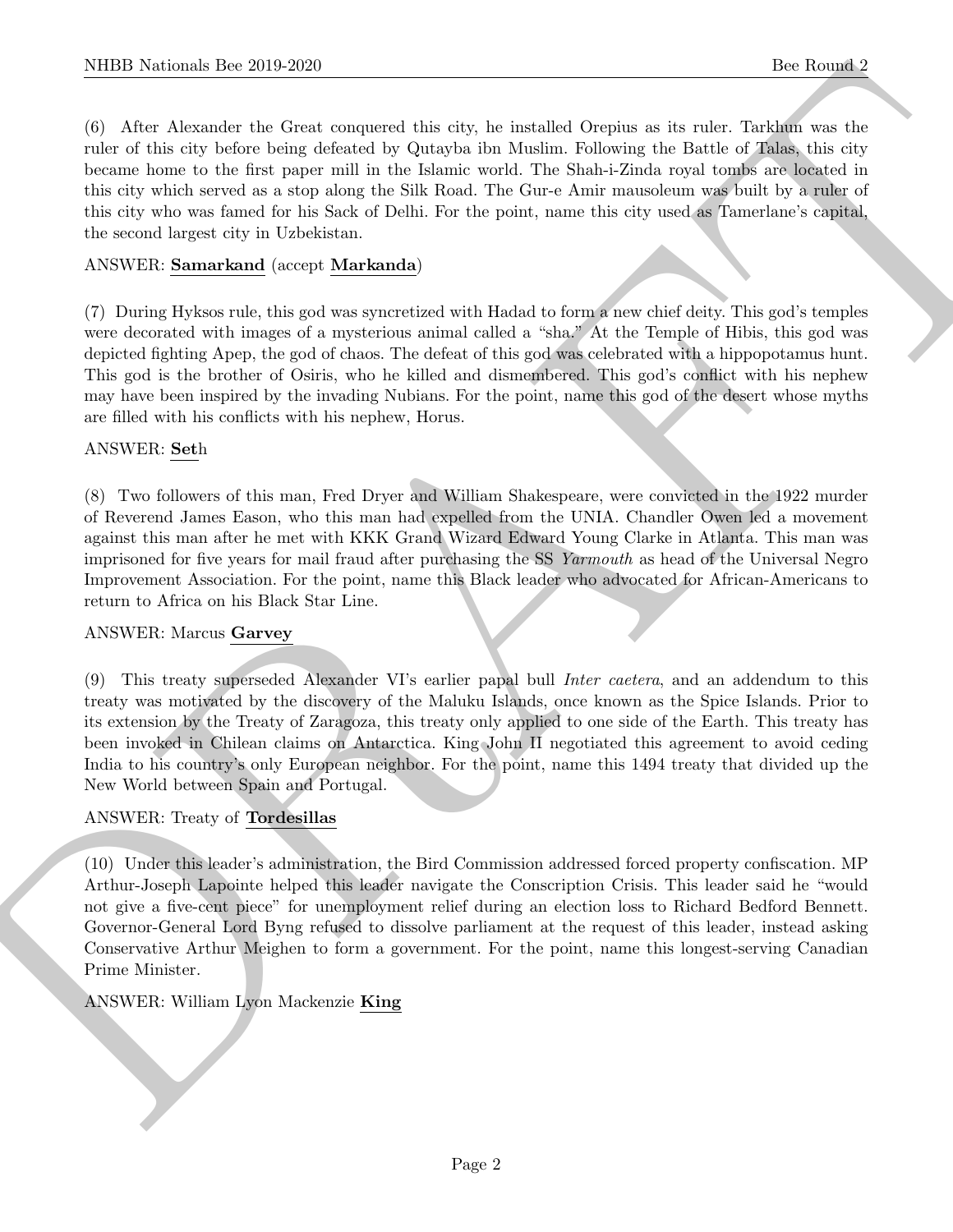(6) After Alexander the Great conquered this city, he installed Orepius as its ruler. Tarkhun was the ruler of this city before being defeated by Qutayba ibn Muslim. Following the Battle of Talas, this city became home to the first paper mill in the Islamic world. The Shah-i-Zinda royal tombs are located in this city which served as a stop along the Silk Road. The Gur-e Amir mausoleum was built by a ruler of this city who was famed for his Sack of Delhi. For the point, name this city used as Tamerlane's capital, the second largest city in Uzbekistan.

# ANSWER: Samarkand (accept Markanda)

(7) During Hyksos rule, this god was syncretized with Hadad to form a new chief deity. This god's temples were decorated with images of a mysterious animal called a "sha." At the Temple of Hibis, this god was depicted fighting Apep, the god of chaos. The defeat of this god was celebrated with a hippopotamus hunt. This god is the brother of Osiris, who he killed and dismembered. This god's conflict with his nephew may have been inspired by the invading Nubians. For the point, name this god of the desert whose myths are filled with his conflicts with his nephew, Horus.

# ANSWER: Seth

(8) Two followers of this man, Fred Dryer and William Shakespeare, were convicted in the 1922 murder of Reverend James Eason, who this man had expelled from the UNIA. Chandler Owen led a movement against this man after he met with KKK Grand Wizard Edward Young Clarke in Atlanta. This man was imprisoned for five years for mail fraud after purchasing the SS Yarmouth as head of the Universal Negro Improvement Association. For the point, name this Black leader who advocated for African-Americans to return to Africa on his Black Star Line.

# ANSWER: Marcus Garvey

(9) This treaty superseded Alexander VI's earlier papal bull Inter caetera, and an addendum to this treaty was motivated by the discovery of the Maluku Islands, once known as the Spice Islands. Prior to its extension by the Treaty of Zaragoza, this treaty only applied to one side of the Earth. This treaty has been invoked in Chilean claims on Antarctica. King John II negotiated this agreement to avoid ceding India to his country's only European neighbor. For the point, name this 1494 treaty that divided up the New World between Spain and Portugal.

# ANSWER: Treaty of Tordesillas

NIBB Noticeals line 2019.269<br>
(b) Alexander the Green connected this side, he included Origin as As ends. Indeed, we can be a letter of the Associate the Green connected by the sign of the State and the sign of the Higher (10) Under this leader's administration, the Bird Commission addressed forced property confiscation. MP Arthur-Joseph Lapointe helped this leader navigate the Conscription Crisis. This leader said he "would not give a five-cent piece" for unemployment relief during an election loss to Richard Bedford Bennett. Governor-General Lord Byng refused to dissolve parliament at the request of this leader, instead asking Conservative Arthur Meighen to form a government. For the point, name this longest-serving Canadian Prime Minister.

# ANSWER: William Lyon Mackenzie King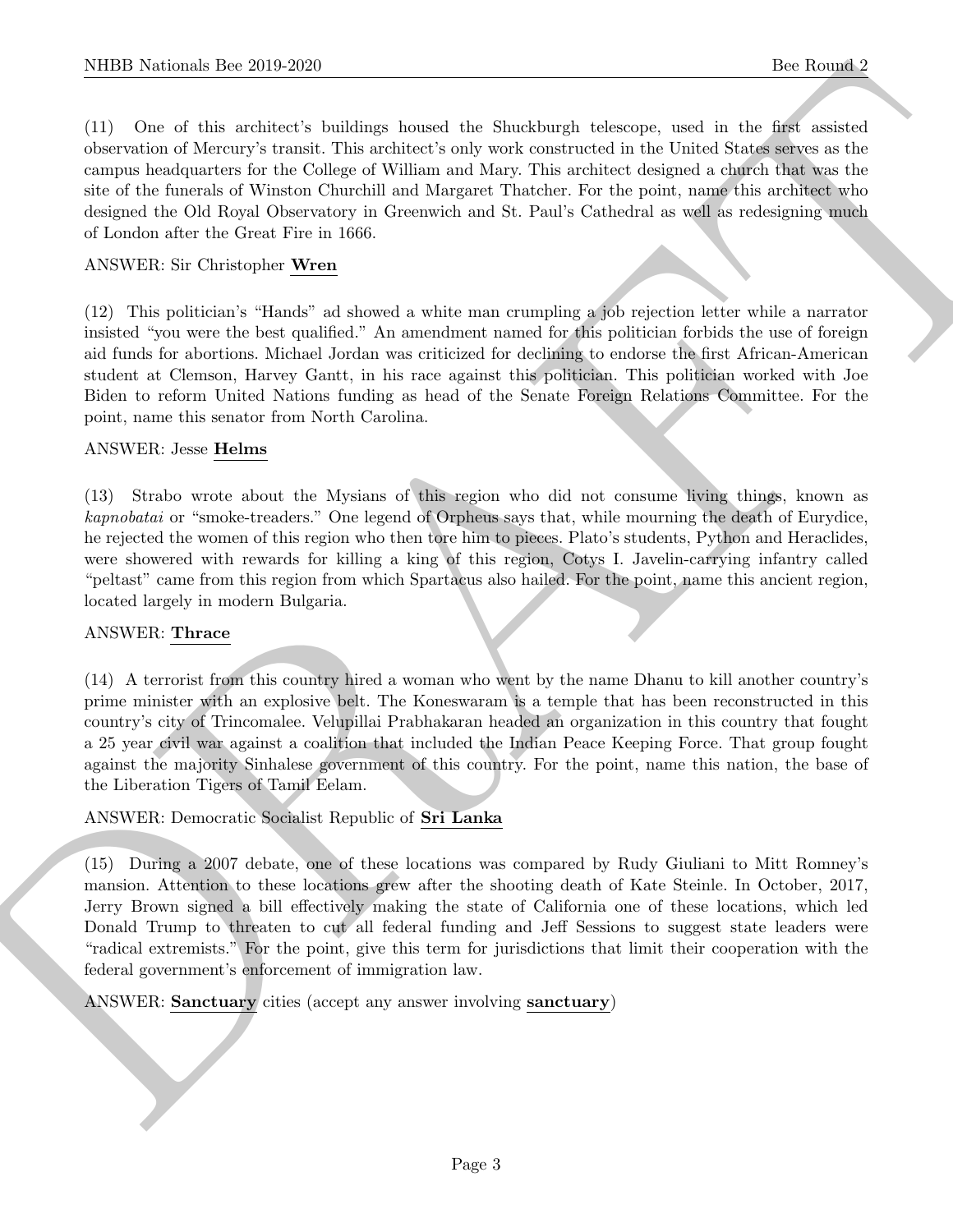(11) One of this architect's buildings housed the Shuckburgh telescope, used in the first assisted observation of Mercury's transit. This architect's only work constructed in the United States serves as the campus headquarters for the College of William and Mary. This architect designed a church that was the site of the funerals of Winston Churchill and Margaret Thatcher. For the point, name this architect who designed the Old Royal Observatory in Greenwich and St. Paul's Cathedral as well as redesigning much of London after the Great Fire in 1666.

# ANSWER: Sir Christopher Wren

(12) This politician's "Hands" ad showed a white man crumpling a job rejection letter while a narrator insisted "you were the best qualified." An amendment named for this politician forbids the use of foreign aid funds for abortions. Michael Jordan was criticized for declining to endorse the first African-American student at Clemson, Harvey Gantt, in his race against this politician. This politician worked with Joe Biden to reform United Nations funding as head of the Senate Foreign Relations Committee. For the point, name this senator from North Carolina.

# ANSWER: Jesse Helms

(13) Strabo wrote about the Mysians of this region who did not consume living things, known as kapnobatai or "smoke-treaders." One legend of Orpheus says that, while mourning the death of Eurydice, he rejected the women of this region who then tore him to pieces. Plato's students, Python and Heraclides, were showered with rewards for killing a king of this region, Cotys I. Javelin-carrying infantry called "peltast" came from this region from which Spartacus also hailed. For the point, name this ancient region, located largely in modern Bulgaria.

# ANSWER: Thrace

(14) A terrorist from this country hired a woman who went by the name Dhanu to kill another country's prime minister with an explosive belt. The Koneswaram is a temple that has been reconstructed in this country's city of Trincomalee. Velupillai Prabhakaran headed an organization in this country that fought a 25 year civil war against a coalition that included the Indian Peace Keeping Force. That group fought against the majority Sinhalese government of this country. For the point, name this nation, the base of the Liberation Tigers of Tamil Eelam.

ANSWER: Democratic Socialist Republic of Sri Lanka

NIBB Noticeals line 2019.269<br>
(1) Noticeal and Statistical and Statistical and Statistical and Statistical and Statistical and Statistical and Statistical and Statistical and Statistical and Statistical and Statistical an (15) During a 2007 debate, one of these locations was compared by Rudy Giuliani to Mitt Romney's mansion. Attention to these locations grew after the shooting death of Kate Steinle. In October, 2017, Jerry Brown signed a bill effectively making the state of California one of these locations, which led Donald Trump to threaten to cut all federal funding and Jeff Sessions to suggest state leaders were "radical extremists." For the point, give this term for jurisdictions that limit their cooperation with the federal government's enforcement of immigration law.

ANSWER: Sanctuary cities (accept any answer involving sanctuary)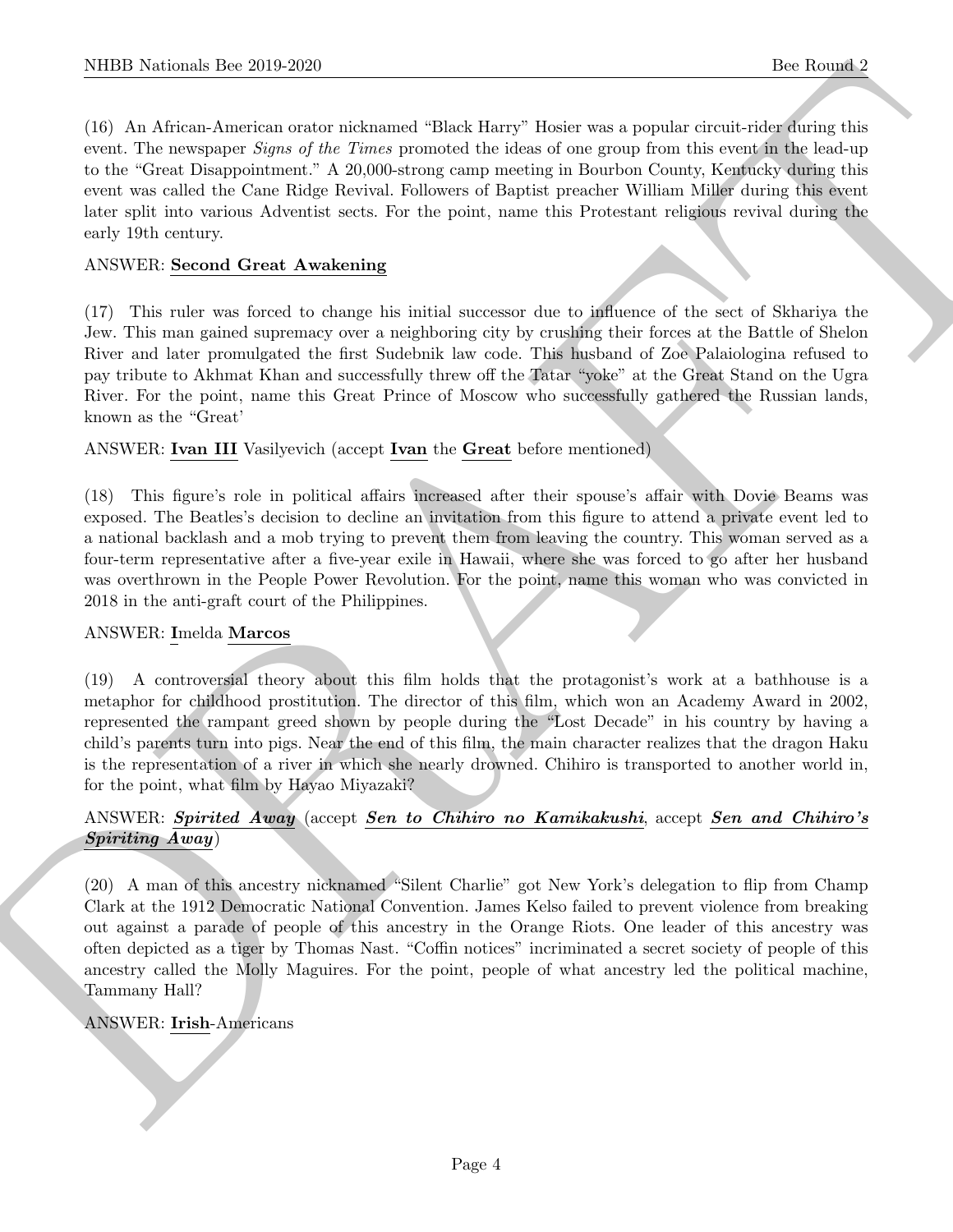(16) An African-American orator nicknamed "Black Harry" Hosier was a popular circuit-rider during this event. The newspaper *Signs of the Times* promoted the ideas of one group from this event in the lead-up to the "Great Disappointment." A 20,000-strong camp meeting in Bourbon County, Kentucky during this event was called the Cane Ridge Revival. Followers of Baptist preacher William Miller during this event later split into various Adventist sects. For the point, name this Protestant religious revival during the early 19th century.

# ANSWER: Second Great Awakening

(17) This ruler was forced to change his initial successor due to influence of the sect of Skhariya the Jew. This man gained supremacy over a neighboring city by crushing their forces at the Battle of Shelon River and later promulgated the first Sudebnik law code. This husband of Zoe Palaiologina refused to pay tribute to Akhmat Khan and successfully threw off the Tatar "yoke" at the Great Stand on the Ugra River. For the point, name this Great Prince of Moscow who successfully gathered the Russian lands, known as the "Great'

ANSWER: Ivan III Vasilyevich (accept Ivan the Great before mentioned)

(18) This figure's role in political affairs increased after their spouse's affair with Dovie Beams was exposed. The Beatles's decision to decline an invitation from this figure to attend a private event led to a national backlash and a mob trying to prevent them from leaving the country. This woman served as a four-term representative after a five-year exile in Hawaii, where she was forced to go after her husband was overthrown in the People Power Revolution. For the point, name this woman who was convicted in 2018 in the anti-graft court of the Philippines.

# ANSWER: Imelda Marcos

(19) A controversial theory about this film holds that the protagonist's work at a bathhouse is a metaphor for childhood prostitution. The director of this film, which won an Academy Award in 2002, represented the rampant greed shown by people during the "Lost Decade" in his country by having a child's parents turn into pigs. Near the end of this film, the main character realizes that the dragon Haku is the representation of a river in which she nearly drowned. Chihiro is transported to another world in, for the point, what film by Hayao Miyazaki?

# ANSWER: Spirited Away (accept Sen to Chihiro no Kamikakushi, accept Sen and Chihiro's Spiriting Away)

NIBB Noticeals line 200 200<br>
100 Advanced methods acceled absolute "Elect Hero" was a popular change of the Real of the Real of the Microsoft change of the Microsoft and the State control of the State control of the State (20) A man of this ancestry nicknamed "Silent Charlie" got New York's delegation to flip from Champ Clark at the 1912 Democratic National Convention. James Kelso failed to prevent violence from breaking out against a parade of people of this ancestry in the Orange Riots. One leader of this ancestry was often depicted as a tiger by Thomas Nast. "Coffin notices" incriminated a secret society of people of this ancestry called the Molly Maguires. For the point, people of what ancestry led the political machine, Tammany Hall?

# ANSWER: Irish-Americans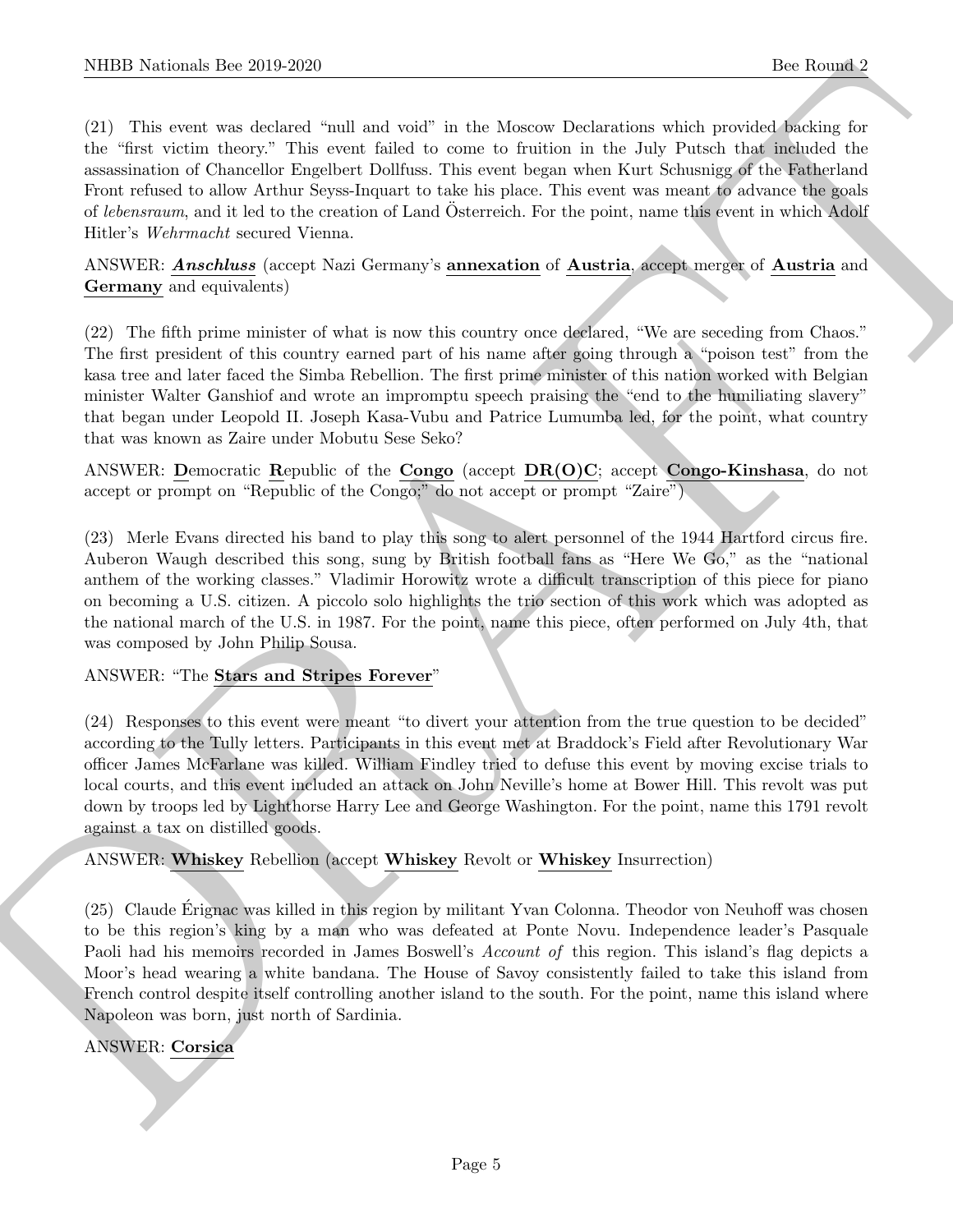NIBB Noticeals line 2019.269<br>
(21) This weak selection that the 2019 and set in the Mossov Dedecelons which may be Rooms 2<br>
(21) This was selected in the Mossov Density in the Mossov Density and the Mossov Density and the (21) This event was declared "null and void" in the Moscow Declarations which provided backing for the "first victim theory." This event failed to come to fruition in the July Putsch that included the assassination of Chancellor Engelbert Dollfuss. This event began when Kurt Schusnigg of the Fatherland Front refused to allow Arthur Seyss-Inquart to take his place. This event was meant to advance the goals of lebensraum, and it led to the creation of Land Osterreich. For the point, name this event in which Adolf Hitler's Wehrmacht secured Vienna.

ANSWER: **Anschluss** (accept Nazi Germany's **annexation** of **Austria**, accept merger of **Austria** and Germany and equivalents)

(22) The fifth prime minister of what is now this country once declared, "We are seceding from Chaos." The first president of this country earned part of his name after going through a "poison test" from the kasa tree and later faced the Simba Rebellion. The first prime minister of this nation worked with Belgian minister Walter Ganshiof and wrote an impromptu speech praising the "end to the humiliating slavery" that began under Leopold II. Joseph Kasa-Vubu and Patrice Lumumba led, for the point, what country that was known as Zaire under Mobutu Sese Seko?

ANSWER: Democratic Republic of the Congo (accept DR(O)C; accept Congo-Kinshasa, do not accept or prompt on "Republic of the Congo;" do not accept or prompt "Zaire")

(23) Merle Evans directed his band to play this song to alert personnel of the 1944 Hartford circus fire. Auberon Waugh described this song, sung by British football fans as "Here We Go," as the "national anthem of the working classes." Vladimir Horowitz wrote a difficult transcription of this piece for piano on becoming a U.S. citizen. A piccolo solo highlights the trio section of this work which was adopted as the national march of the U.S. in 1987. For the point, name this piece, often performed on July 4th, that was composed by John Philip Sousa.

# ANSWER: "The Stars and Stripes Forever"

(24) Responses to this event were meant "to divert your attention from the true question to be decided" according to the Tully letters. Participants in this event met at Braddock's Field after Revolutionary War officer James McFarlane was killed. William Findley tried to defuse this event by moving excise trials to local courts, and this event included an attack on John Neville's home at Bower Hill. This revolt was put down by troops led by Lighthorse Harry Lee and George Washington. For the point, name this 1791 revolt against a tax on distilled goods.

ANSWER: Whiskey Rebellion (accept Whiskey Revolt or Whiskey Insurrection)

(25) Claude Erignac was killed in this region by militant Yvan Colonna. Theodor von Neuhoff was chosen ´ to be this region's king by a man who was defeated at Ponte Novu. Independence leader's Pasquale Paoli had his memoirs recorded in James Boswell's Account of this region. This island's flag depicts a Moor's head wearing a white bandana. The House of Savoy consistently failed to take this island from French control despite itself controlling another island to the south. For the point, name this island where Napoleon was born, just north of Sardinia.

# ANSWER: Corsica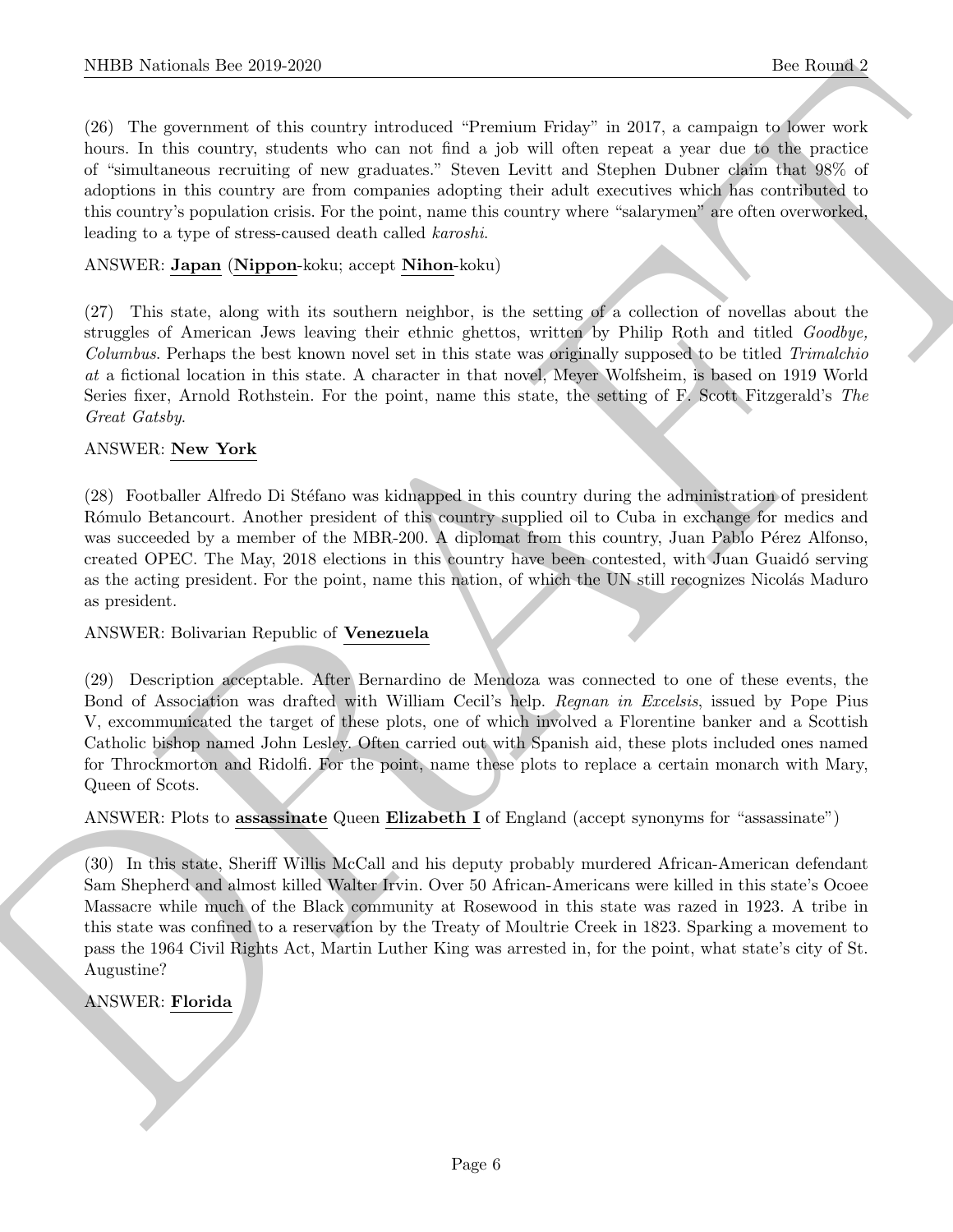(26) The government of this country introduced "Premium Friday" in 2017, a campaign to lower work hours. In this country, students who can not find a job will often repeat a year due to the practice of "simultaneous recruiting of new graduates." Steven Levitt and Stephen Dubner claim that 98% of adoptions in this country are from companies adopting their adult executives which has contributed to this country's population crisis. For the point, name this country where "salarymen" are often overworked, leading to a type of stress-caused death called karoshi.

# ANSWER: Japan (Nippon-koku; accept Nihon-koku)

(27) This state, along with its southern neighbor, is the setting of a collection of novellas about the struggles of American Jews leaving their ethnic ghettos, written by Philip Roth and titled Goodbye, Columbus. Perhaps the best known novel set in this state was originally supposed to be titled Trimalchio at a fictional location in this state. A character in that novel, Meyer Wolfsheim, is based on 1919 World Series fixer, Arnold Rothstein. For the point, name this state, the setting of F. Scott Fitzgerald's The Great Gatsby.

# ANSWER: New York

(28) Footballer Alfredo Di Stéfano was kidnapped in this country during the administration of president Rómulo Betancourt. Another president of this country supplied oil to Cuba in exchange for medics and was succeeded by a member of the MBR-200. A diplomat from this country, Juan Pablo Pérez Alfonso, created OPEC. The May, 2018 elections in this country have been contested, with Juan Guaidó serving as the acting president. For the point, name this nation, of which the UN still recognizes Nicolás Maduro as president.

# ANSWER: Bolivarian Republic of Venezuela

(29) Description acceptable. After Bernardino de Mendoza was connected to one of these events, the Bond of Association was drafted with William Cecil's help. Regnan in Excelsis, issued by Pope Pius V, excommunicated the target of these plots, one of which involved a Florentine banker and a Scottish Catholic bishop named John Lesley. Often carried out with Spanish aid, these plots included ones named for Throckmorton and Ridolfi. For the point, name these plots to replace a certain monarch with Mary, Queen of Scots.

ANSWER: Plots to assessinate Queen Elizabeth I of England (accept synonyms for "assassinate")

NIBB Noticeals line 2019.269<br>
(2013). The Rosenton of the conders are<br>shown in the formula in the conders are consisted "Premium Fishs" in 2017, a source<br>of the conders of the conders who can not the a pla will denote the (30) In this state, Sheriff Willis McCall and his deputy probably murdered African-American defendant Sam Shepherd and almost killed Walter Irvin. Over 50 African-Americans were killed in this state's Ocoee Massacre while much of the Black community at Rosewood in this state was razed in 1923. A tribe in this state was confined to a reservation by the Treaty of Moultrie Creek in 1823. Sparking a movement to pass the 1964 Civil Rights Act, Martin Luther King was arrested in, for the point, what state's city of St. Augustine?

# ANSWER: Florida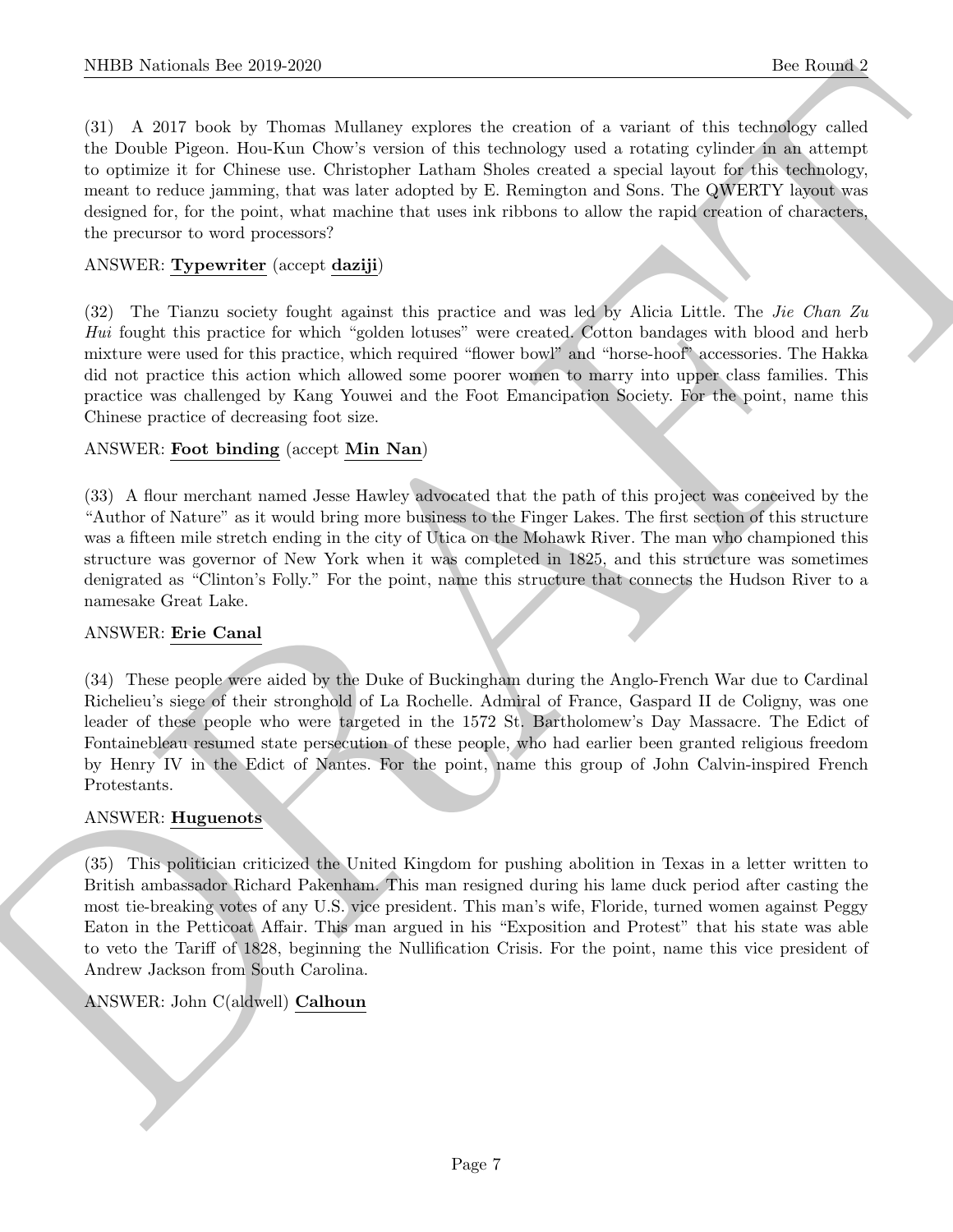(31) A 2017 book by Thomas Mullaney explores the creation of a variant of this technology called the Double Pigeon. Hou-Kun Chow's version of this technology used a rotating cylinder in an attempt to optimize it for Chinese use. Christopher Latham Sholes created a special layout for this technology, meant to reduce jamming, that was later adopted by E. Remington and Sons. The QWERTY layout was designed for, for the point, what machine that uses ink ribbons to allow the rapid creation of characters, the precursor to word processors?

# ANSWER: Typewriter (accept daziji)

(32) The Tianzu society fought against this practice and was led by Alicia Little. The Jie Chan Zu Hui fought this practice for which "golden lotuses" were created. Cotton bandages with blood and herb mixture were used for this practice, which required "flower bowl" and "horse-hoof" accessories. The Hakka did not practice this action which allowed some poorer women to marry into upper class families. This practice was challenged by Kang Youwei and the Foot Emancipation Society. For the point, name this Chinese practice of decreasing foot size.

# ANSWER: Foot binding (accept Min Nan)

(33) A flour merchant named Jesse Hawley advocated that the path of this project was conceived by the "Author of Nature" as it would bring more business to the Finger Lakes. The first section of this structure was a fifteen mile stretch ending in the city of Utica on the Mohawk River. The man who championed this structure was governor of New York when it was completed in 1825, and this structure was sometimes denigrated as "Clinton's Folly." For the point, name this structure that connects the Hudson River to a namesake Great Lake.

# ANSWER: Erie Canal

(34) These people were aided by the Duke of Buckingham during the Anglo-French War due to Cardinal Richelieu's siege of their stronghold of La Rochelle. Admiral of France, Gaspard II de Coligny, was one leader of these people who were targeted in the 1572 St. Bartholomew's Day Massacre. The Edict of Fontainebleau resumed state persecution of these people, who had earlier been granted religious freedom by Henry IV in the Edict of Nantes. For the point, name this group of John Calvin-inspired French Protestants.

# ANSWER: Huguenots

NIBB Noticeals line 200 200<br>
16: Rounds 2 (1900)<br>
16: Rounds 2 (1900)<br>
16: All Totok by House Mollow versions the considered wise of a scient of this collection<br>
16: Totok Pigen. Uncline case Charlotte science calculation (35) This politician criticized the United Kingdom for pushing abolition in Texas in a letter written to British ambassador Richard Pakenham. This man resigned during his lame duck period after casting the most tie-breaking votes of any U.S. vice president. This man's wife, Floride, turned women against Peggy Eaton in the Petticoat Affair. This man argued in his "Exposition and Protest" that his state was able to veto the Tariff of 1828, beginning the Nullification Crisis. For the point, name this vice president of Andrew Jackson from South Carolina.

# ANSWER: John C(aldwell) Calhoun